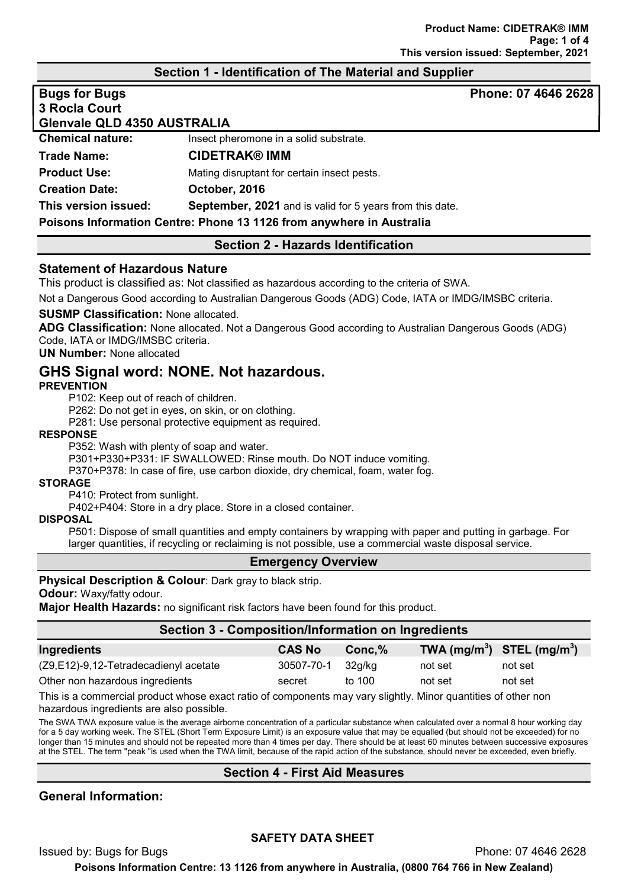## Section 1 - Identification of The Material and Supplier

| <b>Bugs for Bugs</b>        |                                                                      | Phone: 07 4646 2628 |
|-----------------------------|----------------------------------------------------------------------|---------------------|
| 3 Rocla Court               |                                                                      |                     |
| Glenvale QLD 4350 AUSTRALIA |                                                                      |                     |
| <b>Chemical nature:</b>     | Insect pheromone in a solid substrate.                               |                     |
| Trade Name:                 | <b>CIDETRAK® IMM</b>                                                 |                     |
| <b>Product Use:</b>         | Mating disruptant for certain insect pests.                          |                     |
| <b>Creation Date:</b>       | October, 2016                                                        |                     |
| This version issued:        | <b>September, 2021</b> and is valid for 5 years from this date.      |                     |
|                             | Poisons Information Centre: Phone 13 1126 from anywhere in Australia |                     |

# Section 2 - Hazards Identification

### Statement of Hazardous Nature

This product is classified as: Not classified as hazardous according to the criteria of SWA.

Not a Dangerous Good according to Australian Dangerous Goods (ADG) Code, IATA or IMDG/IMSBC criteria.

### SUSMP Classification: None allocated.

ADG Classification: None allocated. Not a Dangerous Good according to Australian Dangerous Goods (ADG) Code, IATA or IMDG/IMSBC criteria.

### UN Number: None allocated

# GHS Signal word: NONE. Not hazardous.

### **PREVENTION**

P102: Keep out of reach of children.

P262: Do not get in eyes, on skin, or on clothing.

P281: Use personal protective equipment as required.

### RESPONSE

P352: Wash with plenty of soap and water.

P301+P330+P331: IF SWALLOWED: Rinse mouth. Do NOT induce vomiting.

P370+P378: In case of fire, use carbon dioxide, dry chemical, foam, water fog.

### **STORAGE**

P410: Protect from sunlight.

P402+P404: Store in a dry place. Store in a closed container.

### DISPOSAL

P501: Dispose of small quantities and empty containers by wrapping with paper and putting in garbage. For larger quantities, if recycling or reclaiming is not possible, use a commercial waste disposal service.

### Emergency Overview

### Physical Description & Colour: Dark gray to black strip.

Odour: Waxy/fatty odour.

**Major Health Hazards:** no significant risk factors have been found for this product.

# Section 3 - Composition/Information on Ingredients

| <b>CAS No</b> | Conc.% |         | TWA $(mg/m^3)$ STEL $(mg/m^3)$ |
|---------------|--------|---------|--------------------------------|
| 30507-70-1    | 32a/ka | not set | not set                        |
| secret        | to 100 | not set | not set                        |
|               |        |         |                                |

This is a commercial product whose exact ratio of components may vary slightly. Minor quantities of other non hazardous ingredients are also possible.

The SWA TWA exposure value is the average airborne concentration of a particular substance when calculated over a normal 8 hour working day for a 5 day working week. The STEL (Short Term Exposure Limit) is an exposure value that may be equalled (but should not be exceeded) for no longer than 15 minutes and should not be repeated more than 4 times per day. There should be at least 60 minutes between successive exposures at the STEL. The term "peak "is used when the TWA limit, because of the rapid action of the substance, should never be exceeded, even briefly.

## Section 4 - First Aid Measures

# General Information:

## SAFETY DATA SHEET

Issued by: Bugs for Bugs Phone: 07 4646 2628 Poisons Information Centre: 13 1126 from anywhere in Australia, (0800 764 766 in New Zealand)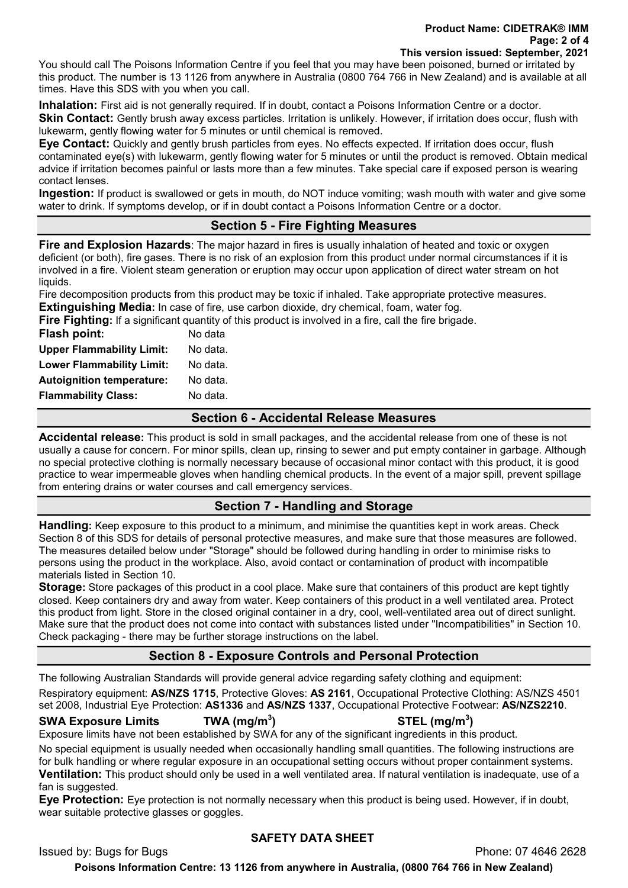#### Product Name: CIDETRAK® IMM Page: 2 of 4 This version issued: September, 2021

You should call The Poisons Information Centre if you feel that you may have been poisoned, burned or irritated by this product. The number is 13 1126 from anywhere in Australia (0800 764 766 in New Zealand) and is available at all times. Have this SDS with you when you call.

Inhalation: First aid is not generally required. If in doubt, contact a Poisons Information Centre or a doctor. Skin Contact: Gently brush away excess particles. Irritation is unlikely. However, if irritation does occur, flush with lukewarm, gently flowing water for 5 minutes or until chemical is removed.

Eye Contact: Quickly and gently brush particles from eyes. No effects expected. If irritation does occur, flush contaminated eye(s) with lukewarm, gently flowing water for 5 minutes or until the product is removed. Obtain medical advice if irritation becomes painful or lasts more than a few minutes. Take special care if exposed person is wearing contact lenses.

Ingestion: If product is swallowed or gets in mouth, do NOT induce vomiting; wash mouth with water and give some water to drink. If symptoms develop, or if in doubt contact a Poisons Information Centre or a doctor.

# Section 5 - Fire Fighting Measures

**Fire and Explosion Hazards:** The major hazard in fires is usually inhalation of heated and toxic or oxygen deficient (or both), fire gases. There is no risk of an explosion from this product under normal circumstances if it is involved in a fire. Violent steam generation or eruption may occur upon application of direct water stream on hot liquids.

Fire decomposition products from this product may be toxic if inhaled. Take appropriate protective measures. **Extinguishing Media:** In case of fire, use carbon dioxide, dry chemical, foam, water fog.

Fire Fighting: If a significant quantity of this product is involved in a fire, call the fire brigade.

| <b>Flash point:</b>              | No data  |
|----------------------------------|----------|
| <b>Upper Flammability Limit:</b> | No data. |
| <b>Lower Flammability Limit:</b> | No data. |
| <b>Autoignition temperature:</b> | No data. |
| <b>Flammability Class:</b>       | No data. |
|                                  |          |

# Section 6 - Accidental Release Measures

Accidental release: This product is sold in small packages, and the accidental release from one of these is not usually a cause for concern. For minor spills, clean up, rinsing to sewer and put empty container in garbage. Although no special protective clothing is normally necessary because of occasional minor contact with this product, it is good practice to wear impermeable gloves when handling chemical products. In the event of a major spill, prevent spillage from entering drains or water courses and call emergency services.

# Section 7 - Handling and Storage

Handling: Keep exposure to this product to a minimum, and minimise the quantities kept in work areas. Check Section 8 of this SDS for details of personal protective measures, and make sure that those measures are followed. The measures detailed below under "Storage" should be followed during handling in order to minimise risks to persons using the product in the workplace. Also, avoid contact or contamination of product with incompatible materials listed in Section 10.

Storage: Store packages of this product in a cool place. Make sure that containers of this product are kept tightly closed. Keep containers dry and away from water. Keep containers of this product in a well ventilated area. Protect this product from light. Store in the closed original container in a dry, cool, well-ventilated area out of direct sunlight. Make sure that the product does not come into contact with substances listed under "Incompatibilities" in Section 10. Check packaging - there may be further storage instructions on the label.

# Section 8 - Exposure Controls and Personal Protection

The following Australian Standards will provide general advice regarding safety clothing and equipment:

Respiratory equipment: AS/NZS 1715, Protective Gloves: AS 2161, Occupational Protective Clothing: AS/NZS 4501 set 2008, Industrial Eye Protection: AS1336 and AS/NZS 1337, Occupational Protective Footwear: AS/NZS2210.

SWA Exposure Limits  $TWA (mq/m<sup>3</sup>)$ 

# $\mathsf{STEL}\;(\mathsf{mg/m^3})$

Exposure limits have not been established by SWA for any of the significant ingredients in this product.

No special equipment is usually needed when occasionally handling small quantities. The following instructions are for bulk handling or where regular exposure in an occupational setting occurs without proper containment systems. **Ventilation:** This product should only be used in a well ventilated area. If natural ventilation is inadequate, use of a fan is suggested.

Eye Protection: Eye protection is not normally necessary when this product is being used. However, if in doubt, wear suitable protective glasses or goggles.

# SAFETY DATA SHEET

Issued by: Bugs for Bugs Phone: 07 4646 2628

Poisons Information Centre: 13 1126 from anywhere in Australia, (0800 764 766 in New Zealand)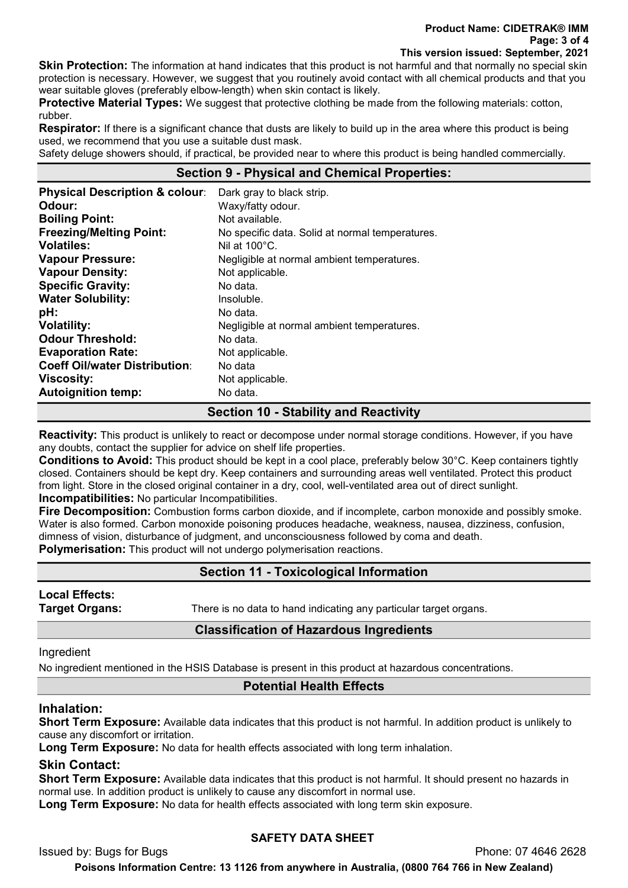Skin Protection: The information at hand indicates that this product is not harmful and that normally no special skin protection is necessary. However, we suggest that you routinely avoid contact with all chemical products and that you wear suitable gloves (preferably elbow-length) when skin contact is likely.

**Protective Material Types:** We suggest that protective clothing be made from the following materials: cotton, rubber.

**Respirator:** If there is a significant chance that dusts are likely to build up in the area where this product is being used, we recommend that you use a suitable dust mask.

Safety deluge showers should, if practical, be provided near to where this product is being handled commercially.

# Section 9 - Physical and Chemical Properties:

| <b>Physical Description &amp; colour:</b><br>Odour: | Dark gray to black strip.<br>Waxy/fatty odour.  |
|-----------------------------------------------------|-------------------------------------------------|
| <b>Boiling Point:</b>                               | Not available.                                  |
| <b>Freezing/Melting Point:</b>                      | No specific data. Solid at normal temperatures. |
| <b>Volatiles:</b>                                   | Nil at $100^{\circ}$ C.                         |
| <b>Vapour Pressure:</b>                             | Negligible at normal ambient temperatures.      |
| <b>Vapour Density:</b>                              | Not applicable.                                 |
| <b>Specific Gravity:</b>                            | No data.                                        |
| <b>Water Solubility:</b>                            | Insoluble.                                      |
| pH:                                                 | No data.                                        |
| <b>Volatility:</b>                                  | Negligible at normal ambient temperatures.      |
| <b>Odour Threshold:</b>                             | No data.                                        |
| <b>Evaporation Rate:</b>                            | Not applicable.                                 |
| <b>Coeff Oil/water Distribution:</b>                | No data                                         |
| <b>Viscosity:</b>                                   | Not applicable.                                 |
| <b>Autoignition temp:</b>                           | No data.                                        |

# Section 10 - Stability and Reactivity

**Reactivity:** This product is unlikely to react or decompose under normal storage conditions. However, if you have any doubts, contact the supplier for advice on shelf life properties.

Conditions to Avoid: This product should be kept in a cool place, preferably below 30°C. Keep containers tightly closed. Containers should be kept dry. Keep containers and surrounding areas well ventilated. Protect this product from light. Store in the closed original container in a dry, cool, well-ventilated area out of direct sunlight. Incompatibilities: No particular Incompatibilities.

Fire Decomposition: Combustion forms carbon dioxide, and if incomplete, carbon monoxide and possibly smoke. Water is also formed. Carbon monoxide poisoning produces headache, weakness, nausea, dizziness, confusion, dimness of vision, disturbance of judgment, and unconsciousness followed by coma and death. **Polymerisation:** This product will not undergo polymerisation reactions.

# Section 11 - Toxicological Information

Local Effects:

**Target Organs:** There is no data to hand indicating any particular target organs.

## Classification of Hazardous Ingredients

Ingredient

No ingredient mentioned in the HSIS Database is present in this product at hazardous concentrations.

## Potential Health Effects

### Inhalation:

Short Term Exposure: Available data indicates that this product is not harmful. In addition product is unlikely to cause any discomfort or irritation.

Long Term Exposure: No data for health effects associated with long term inhalation.

## Skin Contact:

Short Term Exposure: Available data indicates that this product is not harmful. It should present no hazards in normal use. In addition product is unlikely to cause any discomfort in normal use.

Long Term Exposure: No data for health effects associated with long term skin exposure.

## SAFETY DATA SHEET

Issued by: Bugs for Bugs Phone: 07 4646 2628

Poisons Information Centre: 13 1126 from anywhere in Australia, (0800 764 766 in New Zealand)